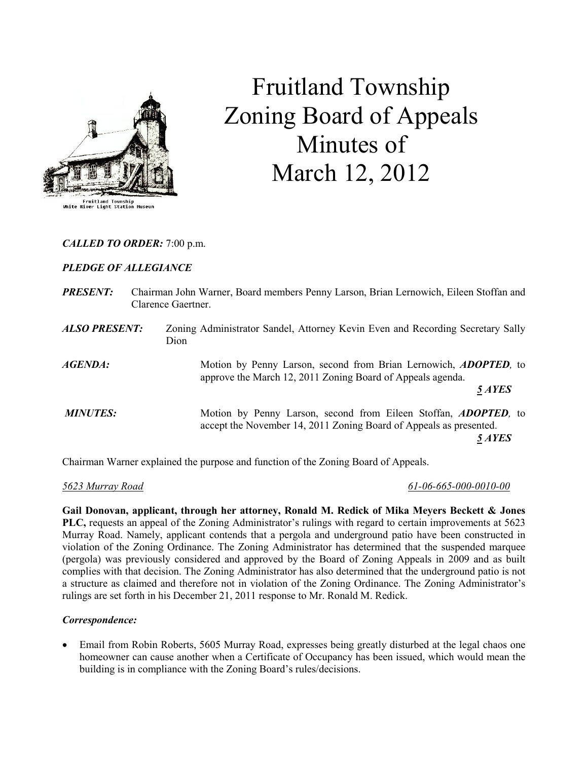

# Fruitland Township Zoning Board of Appeals Minutes of March 12, 2012

# CALLED TO ORDER: 7:00 p.m.

# PLEDGE OF ALLEGIANCE

| <b>PRESENT:</b>      | Clarence Gaertner. | Chairman John Warner, Board members Penny Larson, Brian Lernowich, Eileen Stoffan and                                                                   |
|----------------------|--------------------|---------------------------------------------------------------------------------------------------------------------------------------------------------|
| <b>ALSO PRESENT:</b> | Dion               | Zoning Administrator Sandel, Attorney Kevin Even and Recording Secretary Sally                                                                          |
| AGENDA:              |                    | Motion by Penny Larson, second from Brian Lernowich, <b>ADOPTED</b> , to<br>approve the March 12, 2011 Zoning Board of Appeals agenda.<br>5 AYES        |
| <b>MINUTES:</b>      |                    | Motion by Penny Larson, second from Eileen Stoffan, <i>ADOPTED</i> , to<br>accept the November 14, 2011 Zoning Board of Appeals as presented.<br>5 AYES |

Chairman Warner explained the purpose and function of the Zoning Board of Appeals.

5623 Murray Road 61-06-665-000-0010-00

Gail Donovan, applicant, through her attorney, Ronald M. Redick of Mika Meyers Beckett & Jones PLC, requests an appeal of the Zoning Administrator's rulings with regard to certain improvements at 5623 Murray Road. Namely, applicant contends that a pergola and underground patio have been constructed in violation of the Zoning Ordinance. The Zoning Administrator has determined that the suspended marquee (pergola) was previously considered and approved by the Board of Zoning Appeals in 2009 and as built complies with that decision. The Zoning Administrator has also determined that the underground patio is not a structure as claimed and therefore not in violation of the Zoning Ordinance. The Zoning Administrator's rulings are set forth in his December 21, 2011 response to Mr. Ronald M. Redick.

# Correspondence:

• Email from Robin Roberts, 5605 Murray Road, expresses being greatly disturbed at the legal chaos one homeowner can cause another when a Certificate of Occupancy has been issued, which would mean the building is in compliance with the Zoning Board's rules/decisions.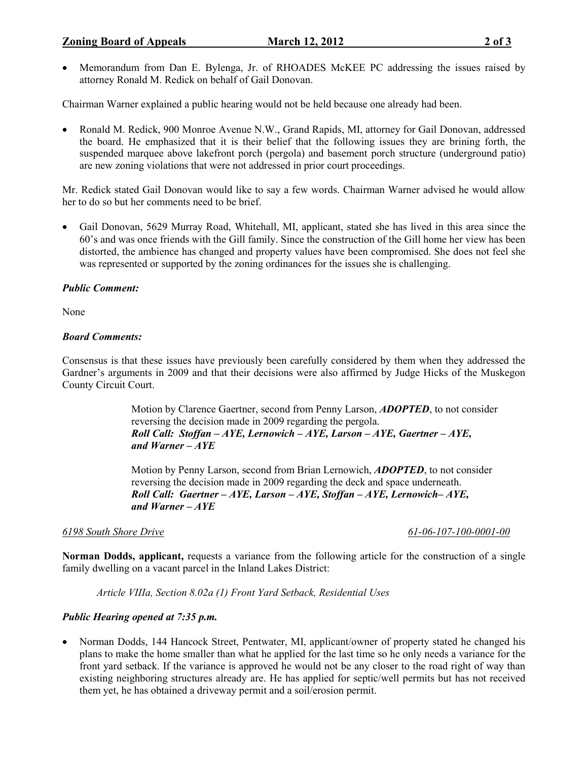# **Zoning Board of Appeals March 12, 2012** 2 of 3

• Memorandum from Dan E. Bylenga, Jr. of RHOADES McKEE PC addressing the issues raised by attorney Ronald M. Redick on behalf of Gail Donovan.

Chairman Warner explained a public hearing would not be held because one already had been.

• Ronald M. Redick, 900 Monroe Avenue N.W., Grand Rapids, MI, attorney for Gail Donovan, addressed the board. He emphasized that it is their belief that the following issues they are brining forth, the suspended marquee above lakefront porch (pergola) and basement porch structure (underground patio) are new zoning violations that were not addressed in prior court proceedings.

Mr. Redick stated Gail Donovan would like to say a few words. Chairman Warner advised he would allow her to do so but her comments need to be brief.

• Gail Donovan, 5629 Murray Road, Whitehall, MI, applicant, stated she has lived in this area since the 60's and was once friends with the Gill family. Since the construction of the Gill home her view has been distorted, the ambience has changed and property values have been compromised. She does not feel she was represented or supported by the zoning ordinances for the issues she is challenging.

#### Public Comment:

None

#### Board Comments:

Consensus is that these issues have previously been carefully considered by them when they addressed the Gardner's arguments in 2009 and that their decisions were also affirmed by Judge Hicks of the Muskegon County Circuit Court.

> Motion by Clarence Gaertner, second from Penny Larson, ADOPTED, to not consider reversing the decision made in 2009 regarding the pergola. Roll Call: Stoffan – AYE, Lernowich – AYE, Larson – AYE, Gaertner – AYE. and Warner –  $AYE$

Motion by Penny Larson, second from Brian Lernowich, ADOPTED, to not consider reversing the decision made in 2009 regarding the deck and space underneath. Roll Call: Gaertner – AYE, Larson – AYE, Stoffan – AYE, Lernowich– AYE, and Warner  $-AYE$ 

#### 6198 South Shore Drive 61-06-107-100-0001-00

Norman Dodds, applicant, requests a variance from the following article for the construction of a single family dwelling on a vacant parcel in the Inland Lakes District:

Article VIIIa, Section 8.02a (1) Front Yard Setback, Residential Uses

#### Public Hearing opened at 7:35 p.m.

• Norman Dodds, 144 Hancock Street, Pentwater, MI, applicant/owner of property stated he changed his plans to make the home smaller than what he applied for the last time so he only needs a variance for the front yard setback. If the variance is approved he would not be any closer to the road right of way than existing neighboring structures already are. He has applied for septic/well permits but has not received them yet, he has obtained a driveway permit and a soil/erosion permit.